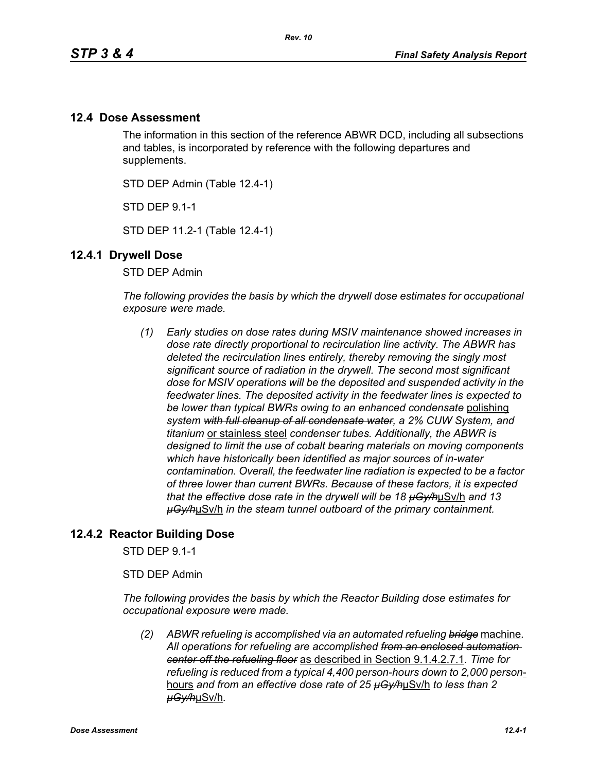# **12.4 Dose Assessment**

The information in this section of the reference ABWR DCD, including all subsections and tables, is incorporated by reference with the following departures and supplements.

STD DEP Admin (Table 12.4-1)

STD DEP 9.1-1

STD DEP 11.2-1 (Table 12.4-1)

#### **12.4.1 Drywell Dose**

STD DEP Admin

*The following provides the basis by which the drywell dose estimates for occupational exposure were made.*

*(1) Early studies on dose rates during MSIV maintenance showed increases in dose rate directly proportional to recirculation line activity. The ABWR has deleted the recirculation lines entirely, thereby removing the singly most significant source of radiation in the drywell. The second most significant dose for MSIV operations will be the deposited and suspended activity in the feedwater lines. The deposited activity in the feedwater lines is expected to be lower than typical BWRs owing to an enhanced condensate* polishing *system with full cleanup of all condensate water, a 2% CUW System, and titanium* or stainless steel *condenser tubes. Additionally, the ABWR is designed to limit the use of cobalt bearing materials on moving components which have historically been identified as major sources of in-water contamination. Overall, the feedwater line radiation is expected to be a factor of three lower than current BWRs. Because of these factors, it is expected that the effective dose rate in the drywell will be 18 µGy/h*µSv/h *and 13 µGy/h*µSv/h *in the steam tunnel outboard of the primary containment.* 

## **12.4.2 Reactor Building Dose**

STD DEP 9.1-1

STD DEP Admin

*The following provides the basis by which the Reactor Building dose estimates for occupational exposure were made.*

*(2) ABWR refueling is accomplished via an automated refueling bridge* machine*. All operations for refueling are accomplished from an enclosed automation center off the refueling floor* as described in Section 9.1.4.2.7.1*. Time for refueling is reduced from a typical 4,400 person-hours down to 2,000 person*hours *and from an effective dose rate of 25 µGy/h*µSv/h *to less than 2 µGy/h*µSv/h*.*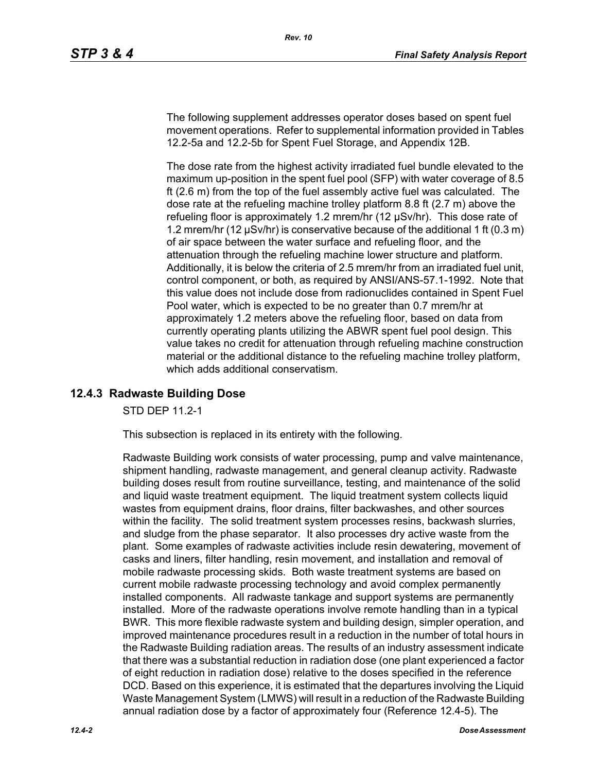The following supplement addresses operator doses based on spent fuel movement operations. Refer to supplemental information provided in Tables 12.2-5a and 12.2-5b for Spent Fuel Storage, and Appendix 12B.

The dose rate from the highest activity irradiated fuel bundle elevated to the maximum up-position in the spent fuel pool (SFP) with water coverage of 8.5 ft (2.6 m) from the top of the fuel assembly active fuel was calculated. The dose rate at the refueling machine trolley platform 8.8 ft (2.7 m) above the refueling floor is approximately 1.2 mrem/hr (12 µSv/hr). This dose rate of 1.2 mrem/hr (12 µSv/hr) is conservative because of the additional 1 ft (0.3 m) of air space between the water surface and refueling floor, and the attenuation through the refueling machine lower structure and platform. Additionally, it is below the criteria of 2.5 mrem/hr from an irradiated fuel unit, control component, or both, as required by ANSI/ANS-57.1-1992. Note that this value does not include dose from radionuclides contained in Spent Fuel Pool water, which is expected to be no greater than 0.7 mrem/hr at approximately 1.2 meters above the refueling floor, based on data from currently operating plants utilizing the ABWR spent fuel pool design. This value takes no credit for attenuation through refueling machine construction material or the additional distance to the refueling machine trolley platform, which adds additional conservatism.

# **12.4.3 Radwaste Building Dose**

STD DEP 11.2-1

This subsection is replaced in its entirety with the following.

Radwaste Building work consists of water processing, pump and valve maintenance, shipment handling, radwaste management, and general cleanup activity. Radwaste building doses result from routine surveillance, testing, and maintenance of the solid and liquid waste treatment equipment. The liquid treatment system collects liquid wastes from equipment drains, floor drains, filter backwashes, and other sources within the facility. The solid treatment system processes resins, backwash slurries, and sludge from the phase separator. It also processes dry active waste from the plant. Some examples of radwaste activities include resin dewatering, movement of casks and liners, filter handling, resin movement, and installation and removal of mobile radwaste processing skids. Both waste treatment systems are based on current mobile radwaste processing technology and avoid complex permanently installed components. All radwaste tankage and support systems are permanently installed. More of the radwaste operations involve remote handling than in a typical BWR. This more flexible radwaste system and building design, simpler operation, and improved maintenance procedures result in a reduction in the number of total hours in the Radwaste Building radiation areas. The results of an industry assessment indicate that there was a substantial reduction in radiation dose (one plant experienced a factor of eight reduction in radiation dose) relative to the doses specified in the reference DCD. Based on this experience, it is estimated that the departures involving the Liquid Waste Management System (LMWS) will result in a reduction of the Radwaste Building annual radiation dose by a factor of approximately four (Reference 12.4-5). The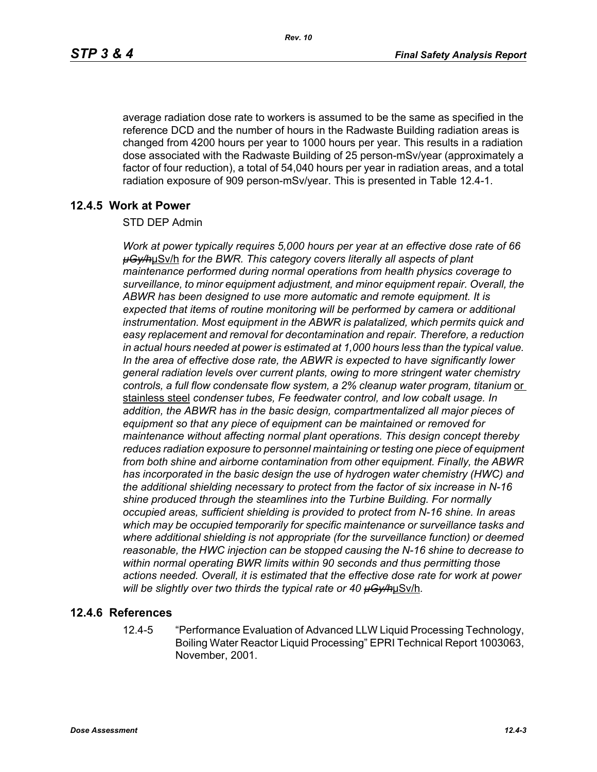average radiation dose rate to workers is assumed to be the same as specified in the reference DCD and the number of hours in the Radwaste Building radiation areas is changed from 4200 hours per year to 1000 hours per year. This results in a radiation dose associated with the Radwaste Building of 25 person-mSv/year (approximately a factor of four reduction), a total of 54,040 hours per year in radiation areas, and a total radiation exposure of 909 person-mSv/year. This is presented in Table 12.4-1.

## **12.4.5 Work at Power**

#### STD DEP Admin

*Work at power typically requires 5,000 hours per year at an effective dose rate of 66 µGy/h*µSv/h *for the BWR. This category covers literally all aspects of plant maintenance performed during normal operations from health physics coverage to surveillance, to minor equipment adjustment, and minor equipment repair. Overall, the ABWR has been designed to use more automatic and remote equipment. It is expected that items of routine monitoring will be performed by camera or additional instrumentation. Most equipment in the ABWR is palatalized, which permits quick and easy replacement and removal for decontamination and repair. Therefore, a reduction in actual hours needed at power is estimated at 1,000 hours less than the typical value. In the area of effective dose rate, the ABWR is expected to have significantly lower general radiation levels over current plants, owing to more stringent water chemistry*  controls, a full flow condensate flow system, a 2% cleanup water program, titanium or stainless steel *condenser tubes, Fe feedwater control, and low cobalt usage. In addition, the ABWR has in the basic design, compartmentalized all major pieces of equipment so that any piece of equipment can be maintained or removed for maintenance without affecting normal plant operations. This design concept thereby reduces radiation exposure to personnel maintaining or testing one piece of equipment from both shine and airborne contamination from other equipment. Finally, the ABWR has incorporated in the basic design the use of hydrogen water chemistry (HWC) and the additional shielding necessary to protect from the factor of six increase in N-16 shine produced through the steamlines into the Turbine Building. For normally occupied areas, sufficient shielding is provided to protect from N-16 shine. In areas which may be occupied temporarily for specific maintenance or surveillance tasks and where additional shielding is not appropriate (for the surveillance function) or deemed reasonable, the HWC injection can be stopped causing the N-16 shine to decrease to within normal operating BWR limits within 90 seconds and thus permitting those actions needed. Overall, it is estimated that the effective dose rate for work at power will be slightly over two thirds the typical rate or 40 µGy/h*µSv/h*.*

## **12.4.6 References**

12.4-5 "Performance Evaluation of Advanced LLW Liquid Processing Technology, Boiling Water Reactor Liquid Processing" EPRI Technical Report 1003063, November, 2001.